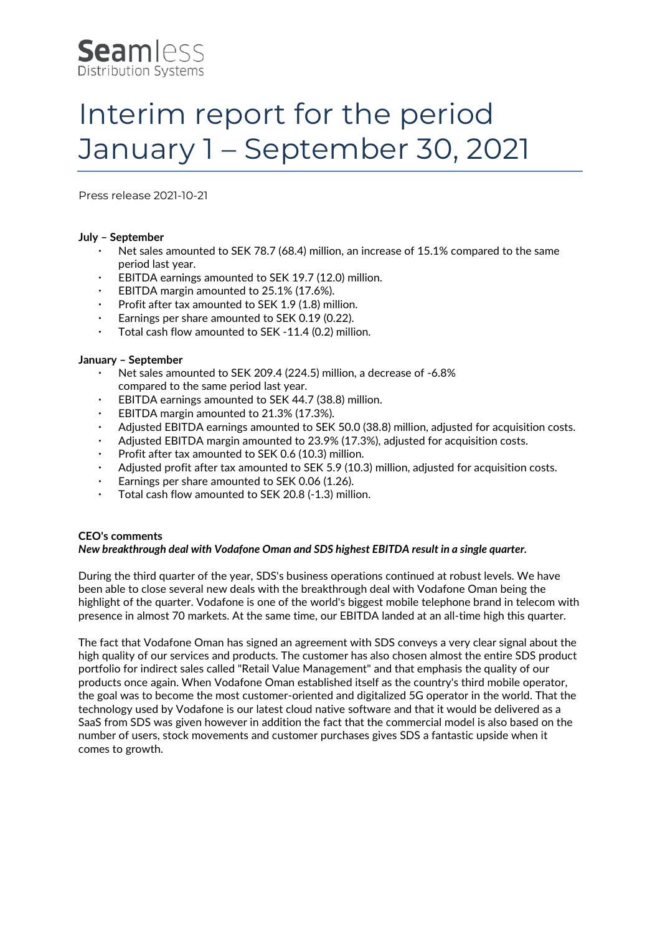

# Interim report for the period January 1 – September 30, 2021

Press release 2021-10-21

# **July – September**

- Net sales amounted to SEK 78.7 (68.4) million, an increase of 15.1% compared to the same period last year.
- EBITDA earnings amounted to SEK 19.7 (12.0) million.
- EBITDA margin amounted to 25.1% (17.6%).
- Profit after tax amounted to SEK 1.9 (1.8) million.
- Earnings per share amounted to SEK 0.19 (0.22).
- Total cash flow amounted to SEK -11.4 (0.2) million.

# **January – September**

- Net sales amounted to SEK 209.4 (224.5) million, a decrease of -6.8% compared to the same period last year.
- EBITDA earnings amounted to SEK 44.7 (38.8) million.
- EBITDA margin amounted to 21.3% (17.3%).
- Adjusted EBITDA earnings amounted to SEK 50.0 (38.8) million, adjusted for acquisition costs.
- Adjusted EBITDA margin amounted to 23.9% (17.3%), adjusted for acquisition costs.
- Profit after tax amounted to SEK 0.6 (10.3) million.
- Adjusted profit after tax amounted to SEK 5.9 (10.3) million, adjusted for acquisition costs.
- Earnings per share amounted to SEK 0.06 (1.26).
- $\cdot$  Total cash flow amounted to SEK 20.8 (-1.3) million.

# **CEO's comments**

#### *New breakthrough deal with Vodafone Oman and SDS highest EBITDA result in a single quarter.*

During the third quarter of the year, SDS's business operations continued at robust levels. We have been able to close several new deals with the breakthrough deal with Vodafone Oman being the highlight of the quarter. Vodafone is one of the world's biggest mobile telephone brand in telecom with presence in almost 70 markets. At the same time, our EBITDA landed at an all-time high this quarter.

The fact that Vodafone Oman has signed an agreement with SDS conveys a very clear signal about the high quality of our services and products. The customer has also chosen almost the entire SDS product portfolio for indirect sales called "Retail Value Management" and that emphasis the quality of our products once again. When Vodafone Oman established itself as the country's third mobile operator, the goal was to become the most customer-oriented and digitalized 5G operator in the world. That the technology used by Vodafone is our latest cloud native software and that it would be delivered as a SaaS from SDS was given however in addition the fact that the commercial model is also based on the number of users, stock movements and customer purchases gives SDS a fantastic upside when it comes to growth.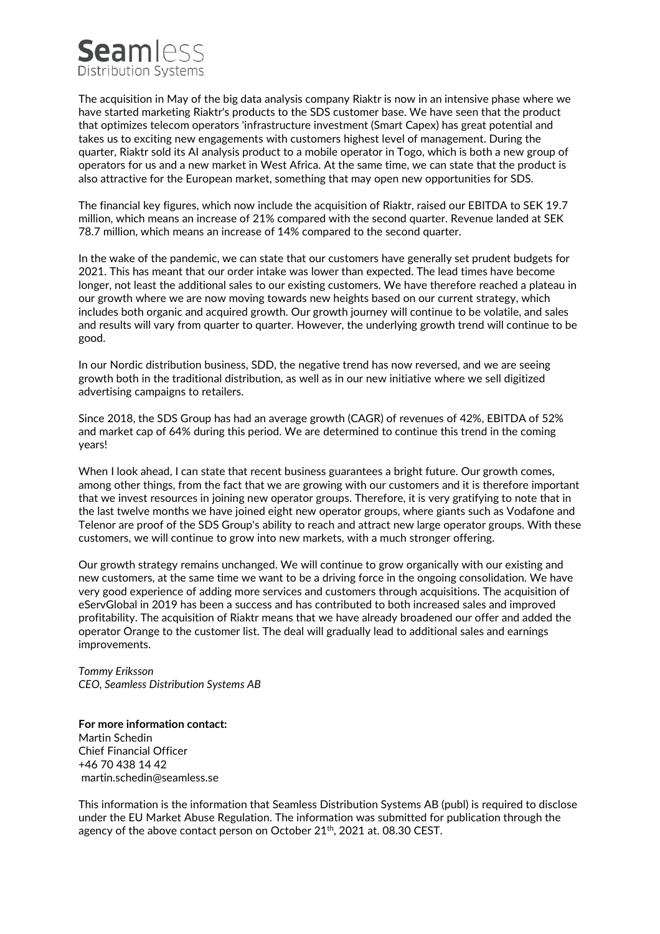# **Seamless** Distribution Systems

The acquisition in May of the big data analysis company Riaktr is now in an intensive phase where we have started marketing Riaktr's products to the SDS customer base. We have seen that the product that optimizes telecom operators 'infrastructure investment (Smart Capex) has great potential and takes us to exciting new engagements with customers highest level of management. During the quarter, Riaktr sold its AI analysis product to a mobile operator in Togo, which is both a new group of operators for us and a new market in West Africa. At the same time, we can state that the product is also attractive for the European market, something that may open new opportunities for SDS.

The financial key figures, which now include the acquisition of Riaktr, raised our EBITDA to SEK 19.7 million, which means an increase of 21% compared with the second quarter. Revenue landed at SEK 78.7 million, which means an increase of 14% compared to the second quarter.

In the wake of the pandemic, we can state that our customers have generally set prudent budgets for 2021. This has meant that our order intake was lower than expected. The lead times have become longer, not least the additional sales to our existing customers. We have therefore reached a plateau in our growth where we are now moving towards new heights based on our current strategy, which includes both organic and acquired growth. Our growth journey will continue to be volatile, and sales and results will vary from quarter to quarter. However, the underlying growth trend will continue to be good.

In our Nordic distribution business, SDD, the negative trend has now reversed, and we are seeing growth both in the traditional distribution, as well as in our new initiative where we sell digitized advertising campaigns to retailers.

Since 2018, the SDS Group has had an average growth (CAGR) of revenues of 42%, EBITDA of 52% and market cap of 64% during this period. We are determined to continue this trend in the coming years!

When I look ahead, I can state that recent business guarantees a bright future. Our growth comes, among other things, from the fact that we are growing with our customers and it is therefore important that we invest resources in joining new operator groups. Therefore, it is very gratifying to note that in the last twelve months we have joined eight new operator groups, where giants such as Vodafone and Telenor are proof of the SDS Group's ability to reach and attract new large operator groups. With these customers, we will continue to grow into new markets, with a much stronger offering.

Our growth strategy remains unchanged. We will continue to grow organically with our existing and new customers, at the same time we want to be a driving force in the ongoing consolidation. We have very good experience of adding more services and customers through acquisitions. The acquisition of eServGlobal in 2019 has been a success and has contributed to both increased sales and improved profitability. The acquisition of Riaktr means that we have already broadened our offer and added the operator Orange to the customer list. The deal will gradually lead to additional sales and earnings improvements.

*Tommy Eriksson CEO, Seamless Distribution Systems AB*

**For more information contact:**  Martin Schedin Chief Financial Officer +46 70 438 14 42 [martin.schedin@seamless.se](mailto:martin.schedin@seamless.se)

This information is the information that Seamless Distribution Systems AB (publ) is required to disclose under the EU Market Abuse Regulation. The information was submitted for publication through the agency of the above contact person on October 21<sup>th</sup>, 2021 at. 08.30 CEST.